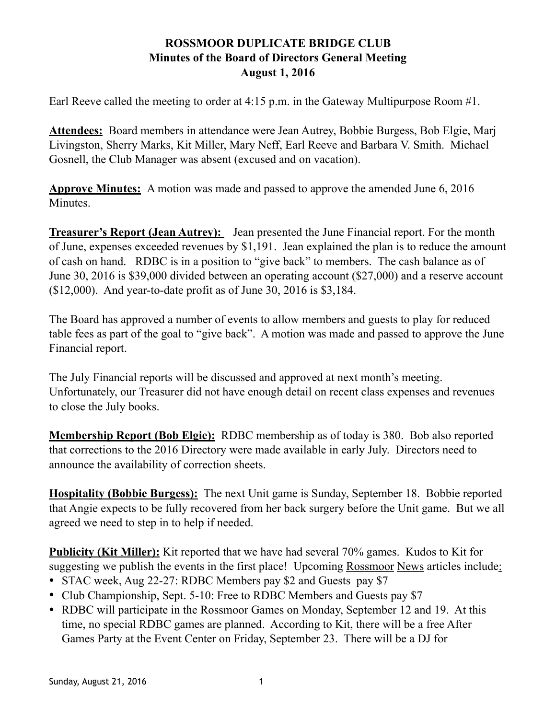Earl Reeve called the meeting to order at 4:15 p.m. in the Gateway Multipurpose Room #1.

**Attendees:** Board members in attendance were Jean Autrey, Bobbie Burgess, Bob Elgie, Marj Livingston, Sherry Marks, Kit Miller, Mary Neff, Earl Reeve and Barbara V. Smith. Michael Gosnell, the Club Manager was absent (excused and on vacation).

**Approve Minutes:** A motion was made and passed to approve the amended June 6, 2016 Minutes.

**Treasurer's Report (Jean Autrey):** Jean presented the June Financial report. For the month of June, expenses exceeded revenues by \$1,191. Jean explained the plan is to reduce the amount of cash on hand. RDBC is in a position to "give back" to members. The cash balance as of June 30, 2016 is \$39,000 divided between an operating account (\$27,000) and a reserve account (\$12,000). And year-to-date profit as of June 30, 2016 is \$3,184.

The Board has approved a number of events to allow members and guests to play for reduced table fees as part of the goal to "give back". A motion was made and passed to approve the June Financial report.

The July Financial reports will be discussed and approved at next month's meeting. Unfortunately, our Treasurer did not have enough detail on recent class expenses and revenues to close the July books.

**Membership Report (Bob Elgie):** RDBC membership as of today is 380. Bob also reported that corrections to the 2016 Directory were made available in early July. Directors need to announce the availability of correction sheets.

**Hospitality (Bobbie Burgess):** The next Unit game is Sunday, September 18. Bobbie reported that Angie expects to be fully recovered from her back surgery before the Unit game. But we all agreed we need to step in to help if needed.

**Publicity (Kit Miller):** Kit reported that we have had several 70% games. Kudos to Kit for suggesting we publish the events in the first place! Upcoming Rossmoor News articles include:

- STAC week, Aug 22-27: RDBC Members pay \$2 and Guests pay \$7
- Club Championship, Sept. 5-10: Free to RDBC Members and Guests pay \$7
- RDBC will participate in the Rossmoor Games on Monday, September 12 and 19. At this time, no special RDBC games are planned. According to Kit, there will be a free After Games Party at the Event Center on Friday, September 23. There will be a DJ for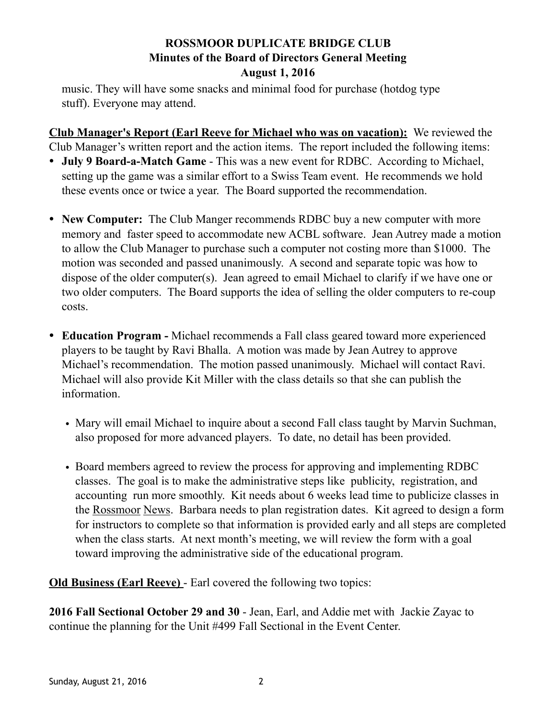music. They will have some snacks and minimal food for purchase (hotdog type stuff). Everyone may attend.

**Club Manager's Report (Earl Reeve for Michael who was on vacation):** We reviewed the Club Manager's written report and the action items. The report included the following items:

- **July 9 Board-a-Match Game**  This was a new event for RDBC. According to Michael, setting up the game was a similar effort to a Swiss Team event. He recommends we hold these events once or twice a year. The Board supported the recommendation.
- **New Computer:** The Club Manger recommends RDBC buy a new computer with more memory and faster speed to accommodate new ACBL software. Jean Autrey made a motion to allow the Club Manager to purchase such a computer not costing more than \$1000. The motion was seconded and passed unanimously. A second and separate topic was how to dispose of the older computer(s). Jean agreed to email Michael to clarify if we have one or two older computers. The Board supports the idea of selling the older computers to re-coup costs.
- **Education Program** Michael recommends a Fall class geared toward more experienced players to be taught by Ravi Bhalla. A motion was made by Jean Autrey to approve Michael's recommendation. The motion passed unanimously. Michael will contact Ravi. Michael will also provide Kit Miller with the class details so that she can publish the information.
	- Mary will email Michael to inquire about a second Fall class taught by Marvin Suchman, also proposed for more advanced players. To date, no detail has been provided.
	- Board members agreed to review the process for approving and implementing RDBC classes. The goal is to make the administrative steps like publicity, registration, and accounting run more smoothly. Kit needs about 6 weeks lead time to publicize classes in the Rossmoor News. Barbara needs to plan registration dates. Kit agreed to design a form for instructors to complete so that information is provided early and all steps are completed when the class starts. At next month's meeting, we will review the form with a goal toward improving the administrative side of the educational program.

**Old Business (Earl Reeve)** - Earl covered the following two topics:

**2016 Fall Sectional October 29 and 30** - Jean, Earl, and Addie met with Jackie Zayac to continue the planning for the Unit #499 Fall Sectional in the Event Center.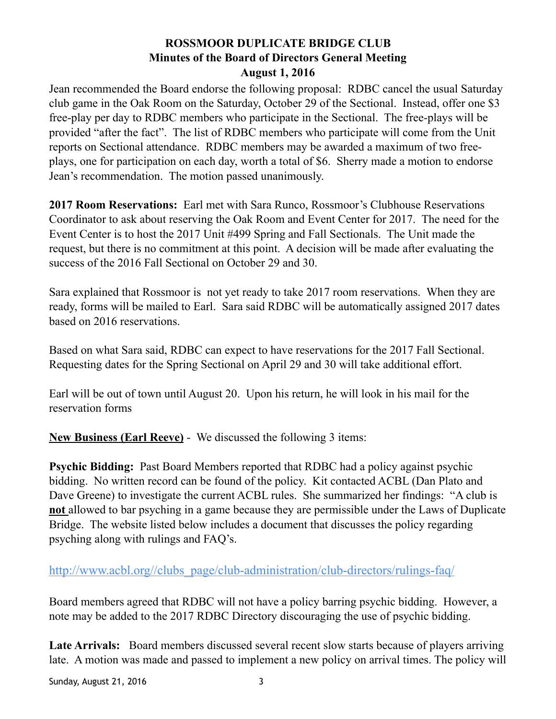Jean recommended the Board endorse the following proposal: RDBC cancel the usual Saturday club game in the Oak Room on the Saturday, October 29 of the Sectional. Instead, offer one \$3 free-play per day to RDBC members who participate in the Sectional. The free-plays will be provided "after the fact". The list of RDBC members who participate will come from the Unit reports on Sectional attendance. RDBC members may be awarded a maximum of two freeplays, one for participation on each day, worth a total of \$6. Sherry made a motion to endorse Jean's recommendation. The motion passed unanimously.

**2017 Room Reservations:** Earl met with Sara Runco, Rossmoor's Clubhouse Reservations Coordinator to ask about reserving the Oak Room and Event Center for 2017. The need for the Event Center is to host the 2017 Unit #499 Spring and Fall Sectionals. The Unit made the request, but there is no commitment at this point. A decision will be made after evaluating the success of the 2016 Fall Sectional on October 29 and 30.

Sara explained that Rossmoor is not yet ready to take 2017 room reservations. When they are ready, forms will be mailed to Earl. Sara said RDBC will be automatically assigned 2017 dates based on 2016 reservations.

Based on what Sara said, RDBC can expect to have reservations for the 2017 Fall Sectional. Requesting dates for the Spring Sectional on April 29 and 30 will take additional effort.

Earl will be out of town until August 20. Upon his return, he will look in his mail for the reservation forms

**New Business (Earl Reeve)** - We discussed the following 3 items:

**Psychic Bidding:** Past Board Members reported that RDBC had a policy against psychic bidding. No written record can be found of the policy. Kit contacted ACBL (Dan Plato and Dave Greene) to investigate the current ACBL rules. She summarized her findings: "A club is **not** allowed to bar psyching in a game because they are permissible under the Laws of Duplicate Bridge. The website listed below includes a document that discusses the policy regarding psyching along with rulings and FAQ's.

[http://www.acbl.org//clubs\\_page/club-administration/club-directors/rulings-faq/](http://www.acbl.org/clubs_page/club-administration/club-directors/rulings-faq/)

Board members agreed that RDBC will not have a policy barring psychic bidding. However, a note may be added to the 2017 RDBC Directory discouraging the use of psychic bidding.

Late Arrivals: Board members discussed several recent slow starts because of players arriving late. A motion was made and passed to implement a new policy on arrival times. The policy will

Sunday, August 21, 2016 3